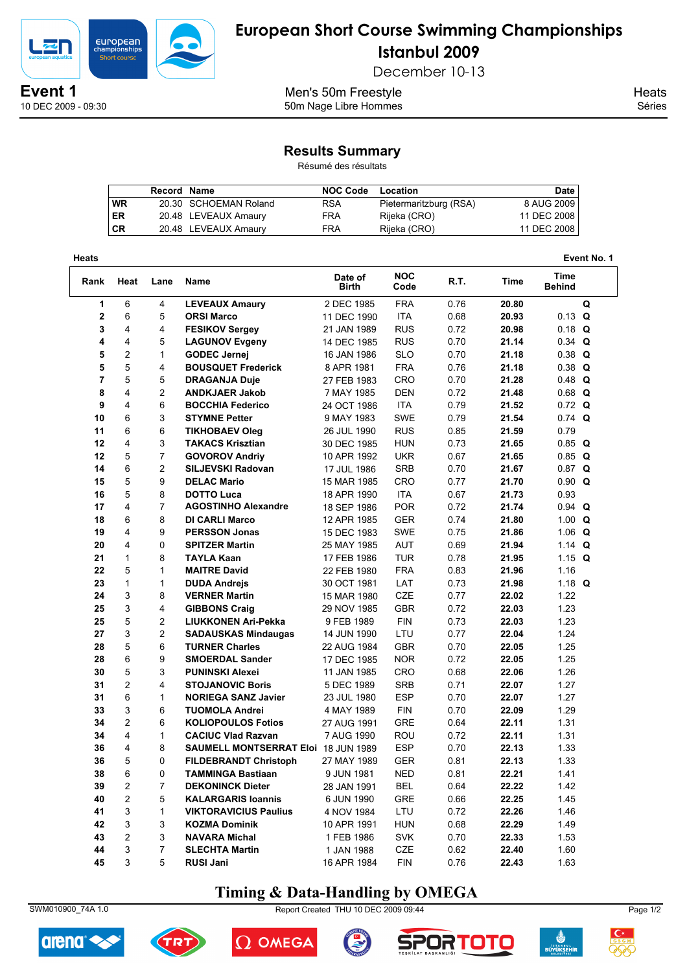

10 DEC 2009 - 09:30

## **European Short Course Swimming Championships Istanbul 2009**

December 10-13

Men's 50m Freestyle 50m Nage Libre Hommes **Heats** Séries

#### **Results Summary**

Résumé des résultats

|           | Record Name |                       | <b>NOC Code</b> | Location               | <b>Date</b> |
|-----------|-------------|-----------------------|-----------------|------------------------|-------------|
| <b>WR</b> |             | 20.30 SCHOEMAN Roland | <b>RSA</b>      | Pietermaritzburg (RSA) | 8 AUG 2009  |
| ER        |             | 20.48 LEVEAUX Amaury  | FRA             | Rijeka (CRO)           | 11 DEC 2008 |
| <b>CR</b> |             | 20.48 LEVEAUX Amaury  | FRA             | Rijeka (CRO)           | 11 DEC 2008 |

| Heats            |                |                |                                            |                         |                    |      |       |                              | Event No. 1 |
|------------------|----------------|----------------|--------------------------------------------|-------------------------|--------------------|------|-------|------------------------------|-------------|
| Rank             | Heat           | Lane           | Name                                       | Date of<br><b>Birth</b> | <b>NOC</b><br>Code | R.T. | Time  | <b>Time</b><br><b>Behind</b> |             |
| 1                | 6              | 4              | <b>LEVEAUX Amaury</b>                      | 2 DEC 1985              | <b>FRA</b>         | 0.76 | 20.80 |                              | Q           |
| $\boldsymbol{2}$ | 6              | 5              | <b>ORSI Marco</b>                          | 11 DEC 1990             | <b>ITA</b>         | 0.68 | 20.93 | $0.13$ Q                     |             |
| 3                | 4              | 4              | <b>FESIKOV Sergev</b>                      | 21 JAN 1989             | <b>RUS</b>         | 0.72 | 20.98 | $0.18$ Q                     |             |
| 4                | 4              | 5              | <b>LAGUNOV Evgeny</b>                      | 14 DEC 1985             | <b>RUS</b>         | 0.70 | 21.14 | $0.34$ Q                     |             |
| 5                | $\overline{c}$ | $\mathbf{1}$   | <b>GODEC Jernej</b>                        | 16 JAN 1986             | <b>SLO</b>         | 0.70 | 21.18 | $0.38$ Q                     |             |
| 5                | 5              | 4              | <b>BOUSQUET Frederick</b>                  | 8 APR 1981              | <b>FRA</b>         | 0.76 | 21.18 | $0.38$ Q                     |             |
| $\overline{7}$   | 5              | 5              | <b>DRAGANJA Duje</b>                       | 27 FEB 1983             | CRO                | 0.70 | 21.28 | $0.48$ Q                     |             |
| 8                | 4              | 2              | <b>ANDKJAER Jakob</b>                      | 7 MAY 1985              | <b>DEN</b>         | 0.72 | 21.48 | $0.68$ Q                     |             |
| 9                | 4              | 6              | <b>BOCCHIA Federico</b>                    | 24 OCT 1986             | <b>ITA</b>         | 0.79 | 21.52 | $0.72$ Q                     |             |
| 10               | 6              | 3              | <b>STYMNE Petter</b>                       | 9 MAY 1983              | <b>SWE</b>         | 0.79 | 21.54 | $0.74$ Q                     |             |
| 11               | 6              | 6              | <b>TIKHOBAEV Oleg</b>                      | 26 JUL 1990             | <b>RUS</b>         | 0.85 | 21.59 | 0.79                         |             |
| 12               | 4              | 3              | <b>TAKACS Krisztian</b>                    | 30 DEC 1985             | <b>HUN</b>         | 0.73 | 21.65 | $0.85$ Q                     |             |
| 12               | 5              | $\overline{7}$ | <b>GOVOROV Andriy</b>                      | 10 APR 1992             | <b>UKR</b>         | 0.67 | 21.65 | $0.85$ Q                     |             |
| 14               | 6              | $\overline{c}$ | SILJEVSKI Radovan                          | 17 JUL 1986             | <b>SRB</b>         | 0.70 | 21.67 | $0.87$ Q                     |             |
| 15               | 5              | 9              | <b>DELAC Mario</b>                         | 15 MAR 1985             | CRO                | 0.77 | 21.70 | $0.90$ Q                     |             |
| 16               | 5              | 8              | <b>DOTTO Luca</b>                          | 18 APR 1990             | <b>ITA</b>         | 0.67 | 21.73 | 0.93                         |             |
| 17               | 4              | $\overline{7}$ | <b>AGOSTINHO Alexandre</b>                 | 18 SEP 1986             | <b>POR</b>         | 0.72 | 21.74 | $0.94$ Q                     |             |
| 18               | 6              | 8              | <b>DI CARLI Marco</b>                      | 12 APR 1985             | <b>GER</b>         | 0.74 | 21.80 | 1.00 $Q$                     |             |
| 19               | 4              | 9              | <b>PERSSON Jonas</b>                       | 15 DEC 1983             | <b>SWE</b>         | 0.75 | 21.86 | 1.06 $Q$                     |             |
| 20               | 4              | 0              | <b>SPITZER Martin</b>                      | 25 MAY 1985             | AUT                | 0.69 | 21.94 | 1.14 $Q$                     |             |
| 21               | $\mathbf{1}$   | 8              | <b>TAYLA Kaan</b>                          | 17 FEB 1986             | <b>TUR</b>         | 0.78 | 21.95 | 1.15 $Q$                     |             |
| 22               | 5              | $\mathbf{1}$   | <b>MAITRE David</b>                        | 22 FEB 1980             | <b>FRA</b>         | 0.83 | 21.96 | 1.16                         |             |
| 23               | 1              | 1              | <b>DUDA Andrejs</b>                        | 30 OCT 1981             | LAT                | 0.73 | 21.98 | 1.18 $Q$                     |             |
| 24               | 3              | 8              | <b>VERNER Martin</b>                       | 15 MAR 1980             | CZE                | 0.77 | 22.02 | 1.22                         |             |
| 25               | 3              | 4              | <b>GIBBONS Craig</b>                       | 29 NOV 1985             | <b>GBR</b>         | 0.72 | 22.03 | 1.23                         |             |
| 25               | 5              | $\overline{c}$ | <b>LIUKKONEN Ari-Pekka</b>                 | 9 FEB 1989              | <b>FIN</b>         | 0.73 | 22.03 | 1.23                         |             |
| 27               | 3              | $\overline{c}$ | <b>SADAUSKAS Mindaugas</b>                 | 14 JUN 1990             | LTU                | 0.77 | 22.04 | 1.24                         |             |
| 28               | 5              | 6              | <b>TURNER Charles</b>                      | 22 AUG 1984             | <b>GBR</b>         | 0.70 | 22.05 | 1.25                         |             |
| 28               | 6              | 9              | <b>SMOERDAL Sander</b>                     | 17 DEC 1985             | <b>NOR</b>         | 0.72 | 22.05 | 1.25                         |             |
| 30               | 5              | 3              | <b>PUNINSKI Alexei</b>                     | 11 JAN 1985             | CRO                | 0.68 | 22.06 | 1.26                         |             |
| 31               | $\overline{c}$ | 4              | <b>STOJANOVIC Boris</b>                    | 5 DEC 1989              | <b>SRB</b>         | 0.71 | 22.07 | 1.27                         |             |
| 31               | 6              | $\mathbf{1}$   | <b>NORIEGA SANZ Javier</b>                 | 23 JUL 1980             | <b>ESP</b>         | 0.70 | 22.07 | 1.27                         |             |
| 33               | 3              | 6              | <b>TUOMOLA Andrei</b>                      | 4 MAY 1989              | FIN                | 0.70 | 22.09 | 1.29                         |             |
| 34               | $\overline{2}$ | 6              | <b>KOLIOPOULOS Fotios</b>                  | 27 AUG 1991             | <b>GRE</b>         | 0.64 | 22.11 | 1.31                         |             |
| 34               | 4              | $\mathbf{1}$   | <b>CACIUC Viad Razvan</b>                  | 7 AUG 1990              | ROU                | 0.72 | 22.11 | 1.31                         |             |
| 36               | 4              | 8              | <b>SAUMELL MONTSERRAT Eloi 18 JUN 1989</b> |                         | <b>ESP</b>         | 0.70 | 22.13 | 1.33                         |             |
| 36               | 5              | 0              | <b>FILDEBRANDT Christoph</b>               | 27 MAY 1989             | <b>GER</b>         | 0.81 | 22.13 | 1.33                         |             |
| 38               | 6              | $\pmb{0}$      | <b>TAMMINGA Bastiaan</b>                   | 9 JUN 1981              | NED                | 0.81 | 22.21 | 1.41                         |             |
| 39               | 2              | 7              | <b>DEKONINCK Dieter</b>                    | 28 JAN 1991             | <b>BEL</b>         | 0.64 | 22.22 | 1.42                         |             |
| 40               | 2              | 5              | <b>KALARGARIS Ioannis</b>                  | 6 JUN 1990              | GRE                | 0.66 | 22.25 | 1.45                         |             |
| 41               | 3              | 1              | <b>VIKTORAVICIUS Paulius</b>               | 4 NOV 1984              | LTU                | 0.72 | 22.26 | 1.46                         |             |
| 42               | 3              | 3              | <b>KOZMA Dominik</b>                       | 10 APR 1991             | <b>HUN</b>         | 0.68 | 22.29 | 1.49                         |             |
| 43               | 2              | 3              | <b>NAVARA Michal</b>                       | 1 FEB 1986              | <b>SVK</b>         | 0.70 | 22.33 | 1.53                         |             |
| 44               | 3              | $\overline{7}$ | <b>SLECHTA Martin</b>                      | 1 JAN 1988              | CZE                | 0.62 | 22.40 | 1.60                         |             |
| 45               | 3              | 5              | <b>RUSI Jani</b>                           | 16 APR 1984             | ${\sf FIN}$        | 0.76 | 22.43 | 1.63                         |             |

#### **Timing & Data-Handling by OMEGA**





SWM010900\_74A 1.0 Report Created THU 10 DEC 2009 09:44 Page 1/2